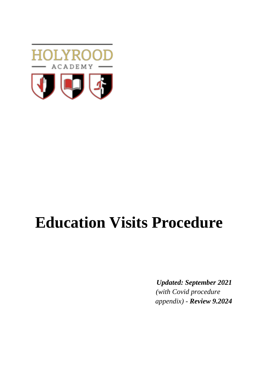

# **Education Visits Procedure**

*Updated: September 2021 (with Covid procedure appendix) - Review 9.2024*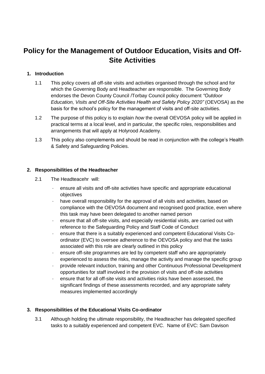# **Policy for the Management of Outdoor Education, Visits and Off-Site Activities**

# **1. Introduction**

- 1.1 This policy covers all off-site visits and activities organised through the school and for which the Governing Body and Headteacher are responsible. The Governing Body endorses the Devon County Council /Torbay Council policy document *"Outdoor Education, Visits and Off-Site Activities Health and Safety Policy 2020"* (OEVOSA) as the basis for the school's policy for the management of visits and off-site activities.
- 1.2 The purpose of this policy is to explain *how* the overall OEVOSA policy will be applied in practical terms at a local level, and in particular, the specific roles, responsibilities and arrangements that will apply at Holyrood Academy.
- 1.3 This policy also complements and should be read in conjunction with the college's Health & Safety and Safeguarding Policies.

# **2. Responsibilities of the Headteacher**

- 2.1 The Headteacehr will:
	- · ensure all visits and off-site activities have specific and appropriate educational objectives
	- have overall responsibility for the approval of all visits and activities, based on compliance with the OEVOSA document and recognised good practice, even where this task may have been delegated to another named person
	- ensure that all off-site visits, and especially residential visits, are carried out with reference to the Safeguarding Policy and Staff Code of Conduct
	- · ensure that there is a suitably experienced and competent Educational Visits Coordinator (EVC) to oversee adherence to the OEVOSA policy and that the tasks associated with this role are clearly outlined in this policy
	- ensure off-site programmes are led by competent staff who are appropriately experienced to assess the risks, manage the activity and manage the specific group
	- · provide relevant induction, training and other Continuous Professional Development opportunities for staff involved in the provision of visits and off-site activities
	- ensure that for all off-site visits and activities risks have been assessed, the significant findings of these assessments recorded, and any appropriate safety measures implemented accordingly

# **3. Responsibilities of the Educational Visits Co-ordinator**

3.1 Although holding the ultimate responsibility, the Headteacher has delegated specified tasks to a suitably experienced and competent EVC. Name of EVC: Sam Davison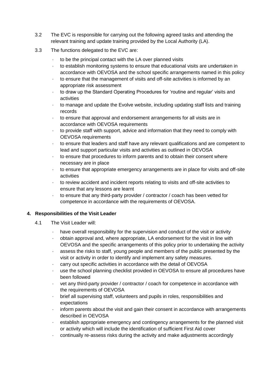- 3.2 The EVC is responsible for carrying out the following agreed tasks and attending the relevant training and update training provided by the Local Authority (LA).
- 3.3 The functions delegated to the EVC are:
	- to be the principal contact with the LA over planned visits
	- · to establish monitoring systems to ensure that educational visits are undertaken in accordance with OEVOSA and the school specific arrangements named in this policy
	- · to ensure that the management of visits and off-site activities is informed by an appropriate risk assessment
	- · to draw up the Standard Operating Procedures for 'routine and regular' visits and activities
	- · to manage and update the Evolve website, including updating staff lists and training records
	- · to ensure that approval and endorsement arrangements for all visits are in accordance with OEVOSA requirements
	- · to provide staff with support, advice and information that they need to comply with OEVOSA requirements
	- · to ensure that leaders and staff have any relevant qualifications and are competent to lead and support particular visits and activities as outlined in OEVOSA
	- to ensure that procedures to inform parents and to obtain their consent where necessary are in place
	- to ensure that appropriate emergency arrangements are in place for visits and off-site activities
	- · to review accident and incident reports relating to visits and off-site activities to ensure that any lessons are learnt
	- to ensure that any third-party provider / contractor / coach has been vetted for competence in accordance with the requirements of OEVOSA*.*

# **4. Responsibilities of the Visit Leader**

- 4.1 The Visit Leader will:
	- have overall responsibility for the supervision and conduct of the visit or activity
	- · obtain approval and, where appropriate, LA endorsement for the visit in line with OEVOSA and the specific arrangements of this policy prior to undertaking the activity
	- · assess the risks to staff, young people and members of the public presented by the visit or activity in order to identify and implement any safety measures.
	- carry out specific activities in accordance with the detail of OEVOSA
	- use the school planning checklist provided in OEVOSA to ensure all procedures have been followed
	- vet any third-party provider / contractor / coach for competence in accordance with the requirements of OEVOSA
	- · brief all supervising staff, volunteers and pupils in roles, responsibilities and expectations
	- inform parents about the visit and gain their consent in accordance with arrangements described in OEVOSA
	- establish appropriate emergency and contingency arrangements for the planned visit or activity which will include the identification of sufficient First Aid cover
	- · continually re-assess risks during the activity and make adjustments accordingly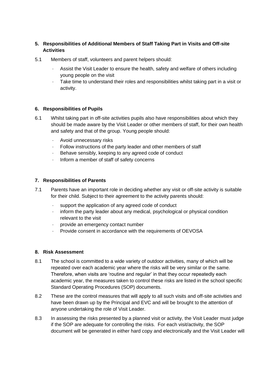# **5. Responsibilities of Additional Members of Staff Taking Part in Visits and Off-site Activities**

- 5.1 Members of staff, volunteers and parent helpers should:
	- Assist the Visit Leader to ensure the health, safety and welfare of others including young people on the visit
	- · Take time to understand their roles and responsibilities whilst taking part in a visit or activity.

#### **6. Responsibilities of Pupils**

- 6.1 Whilst taking part in off-site activities pupils also have responsibilities about which they should be made aware by the Visit Leader or other members of staff, for their own health and safety and that of the group. Young people should:
	- · Avoid unnecessary risks
	- Follow instructions of the party leader and other members of staff
	- · Behave sensibly, keeping to any agreed code of conduct
	- · Inform a member of staff of safety concerns

#### **7. Responsibilities of Parents**

- 7.1 Parents have an important role in deciding whether any visit or off-site activity is suitable for their child. Subject to their agreement to the activity parents should:
	- support the application of any agreed code of conduct
	- inform the party leader about any medical, psychological or physical condition relevant to the visit
	- · provide an emergency contact number
	- Provide consent in accordance with the requirements of OEVOSA

#### **8. Risk Assessment**

- 8.1 The school is committed to a wide variety of outdoor activities, many of which will be repeated over each academic year where the risks will be very similar or the same. Therefore, when visits are 'routine and regular' in that they occur repeatedly each academic year, the measures taken to control these risks are listed in the school specific Standard Operating Procedures (SOP) documents.
- 8.2 These are the control measures that will apply to all such visits and off-site activities and have been drawn up by the Principal and EVC and will be brought to the attention of anyone undertaking the role of Visit Leader.
- 8.3 In assessing the risks presented by a planned visit or activity, the Visit Leader must judge if the SOP are adequate for controlling the risks. For each visit/activity, the SOP document will be generated in either hard copy and electronically and the Visit Leader will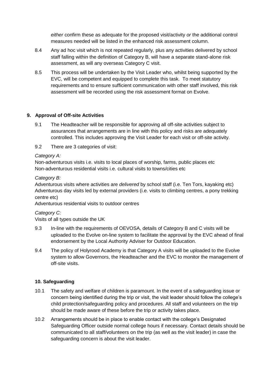*either* confirm these as adequate for the proposed visit/activity *or* the additional control measures needed will be listed in the enhanced risk assessment column.

- 8.4 Any ad hoc visit which is not repeated regularly, plus any activities delivered by school staff falling within the definition of Category B, will have a separate stand-alone risk assessment, as will any overseas Category C visit.
- 8.5 This process will be undertaken by the Visit Leader who, whilst being supported by the EVC, will be competent and equipped to complete this task. To meet statutory requirements and to ensure sufficient communication with other staff involved, this risk assessment will be recorded using the risk assessment format on Evolve.

# **9. Approval of Off-site Activities**

- 9.1 The Headteacher will be responsible for approving all off-site activities subject to assurances that arrangements are in line with this policy and risks are adequately controlled. This includes approving the Visit Leader for each visit or off-site activity.
- 9.2 There are 3 categories of visit:

#### *Category A:*

Non-adventurous visits i.e. visits to local places of worship, farms, public places etc Non-adventurous residential visits i.e. cultural visits to towns/cities etc

#### *Category B:*

Adventurous visits where activities are *delivered* by school staff (i.e. Ten Tors, kayaking etc) Adventurous day visits led by external providers (i.e. visits to climbing centres, a pony trekking centre etc)

Adventurous residential visits to outdoor centres

#### *Category C:*

Visits of all types outside the UK

- 9.3 In-line with the requirements of OEVOSA, details of Category B and C visits will be uploaded to the Evolve on-line system to facilitate the approval by the EVC ahead of final endorsement by the Local Authority Adviser for Outdoor Education.
- 9.4 The policy of Holyrood Academy is that Category A visits will be uploaded to the Evolve system to allow Governors, the Headteacher and the EVC to monitor the management of off-site visits.

# **10. Safeguarding**

- 10.1 The safety and welfare of children is paramount. In the event of a safeguarding issue or concern being identified during the trip or visit, the visit leader should follow the college's child protection/safeguarding policy and procedures. All staff and volunteers on the trip should be made aware of these before the trip or activity takes place.
- 10.2 Arrangements should be in place to enable contact with the college's Designated Safeguarding Officer outside normal college hours if necessary. Contact details should be communicated to all staff/volunteers on the trip (as well as the visit leader) in case the safeguarding concern is about the visit leader.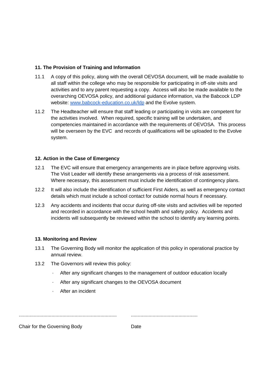#### **11. The Provision of Training and Information**

- 11.1 A copy of this policy, along with the overall OEVOSA document, will be made available to all staff within the college who may be responsible for participating in off-site visits and activities and to any parent requesting a copy. Access will also be made available to the overarching OEVOSA policy, and additional guidance information, via the Babcock LDP website: [www.babcock-education.co.uk/ldp](http://www.babcock-education.co.uk/ldp) and the Evolve system.
- 11.2 The Headteacher will ensure that staff leading or participating in visits are competent for the activities involved. When required, specific training will be undertaken, and competencies maintained in accordance with the requirements of OEVOSA. This process will be overseen by the EVC and records of qualifications will be uploaded to the Evolve system.

#### **12. Action in the Case of Emergency**

- 12.1 The EVC will ensure that emergency arrangements are in place before approving visits. The Visit Leader will identify these arrangements via a process of risk assessment. Where necessary, this assessment must include the identification of contingency plans.
- 12.2 It will also include the identification of sufficient First Aiders, as well as emergency contact details which must include a school contact for outside normal hours if necessary.
- 12.3 Any accidents and incidents that occur during off-site visits and activities will be reported and recorded in accordance with the school health and safety policy. Accidents and incidents will subsequently be reviewed within the school to identify any learning points.

#### **13. Monitoring and Review**

- 13.1 The Governing Body will monitor the application of this policy in operational practice by annual review.
- 13.2 The Governors will review this policy:
	- · After any significant changes to the management of outdoor education locally
	- After any significant changes to the OEVOSA document
	- After an incident

........................................................................ .................................................

Chair for the Governing Body Date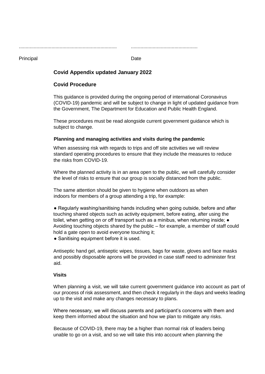........................................................................ .................................................

#### Principal Date **Date**

# **Covid Appendix updated January 2022**

# **Covid Procedure**

This guidance is provided during the ongoing period of international Coronavirus (COVID-19) pandemic and will be subject to change in light of updated guidance from the Government, The Department for Education and Public Health England.

These procedures must be read alongside current government guidance which is subject to change.

#### **Planning and managing activities and visits during the pandemic**

When assessing risk with regards to trips and off site activities we will review standard operating procedures to ensure that they include the measures to reduce the risks from COVID-19.

Where the planned activity is in an area open to the public, we will carefully consider the level of risks to ensure that our group is socially distanced from the public.

The same attention should be given to hygiene when outdoors as when indoors for members of a group attending a trip, for example:

● Regularly washing/sanitising hands including when going outside, before and after touching shared objects such as activity equipment, before eating, after using the toilet, when getting on or off transport such as a minibus, when returning inside; ● Avoiding touching objects shared by the public – for example, a member of staff could hold a gate open to avoid everyone touching it;

• Sanitising equipment before it is used.

Antiseptic hand gel, antiseptic wipes, tissues, bags for waste, gloves and face masks and possibly disposable aprons will be provided in case staff need to administer first aid.

#### **Visits**

When planning a visit, we will take current government guidance into account as part of our process of risk assessment, and then check it regularly in the days and weeks leading up to the visit and make any changes necessary to plans.

Where necessary, we will discuss parents and participant's concerns with them and keep them informed about the situation and how we plan to mitigate any risks.

Because of COVID-19, there may be a higher than normal risk of leaders being unable to go on a visit, and so we will take this into account when planning the